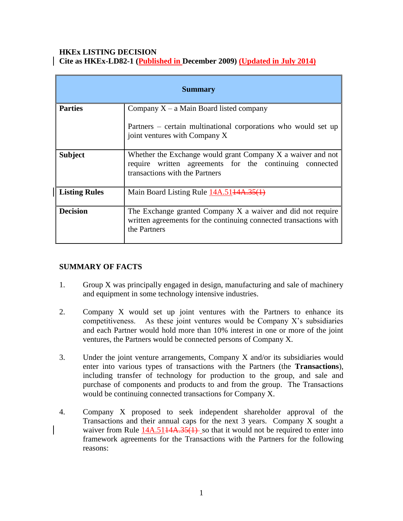### **HKEx LISTING DECISION Cite as HKEx-LD82-1 (Published in December 2009) (Updated in July 2014)**

| <b>Summary</b>       |                                                                                                                                                             |
|----------------------|-------------------------------------------------------------------------------------------------------------------------------------------------------------|
| <b>Parties</b>       | Company $X - a$ Main Board listed company<br>Partners – certain multinational corporations who would set up<br>joint ventures with Company X                |
| <b>Subject</b>       | Whether the Exchange would grant Company X a waiver and not<br>written agreements for the continuing connected<br>require<br>transactions with the Partners |
| <b>Listing Rules</b> | Main Board Listing Rule 14A.5144A.35(1)                                                                                                                     |
| <b>Decision</b>      | The Exchange granted Company X a waiver and did not require<br>written agreements for the continuing connected transactions with<br>the Partners            |

## **SUMMARY OF FACTS**

- 1. Group X was principally engaged in design, manufacturing and sale of machinery and equipment in some technology intensive industries.
- 2. Company X would set up joint ventures with the Partners to enhance its competitiveness. As these joint ventures would be Company  $X$ 's subsidiaries and each Partner would hold more than 10% interest in one or more of the joint ventures, the Partners would be connected persons of Company X.
- 3. Under the joint venture arrangements, Company X and/or its subsidiaries would enter into various types of transactions with the Partners (the **Transactions**), including transfer of technology for production to the group, and sale and purchase of components and products to and from the group. The Transactions would be continuing connected transactions for Company X.
- 4. Company X proposed to seek independent shareholder approval of the Transactions and their annual caps for the next 3 years. Company X sought a waiver from Rule  $14A.5114A.35(1)$  so that it would not be required to enter into framework agreements for the Transactions with the Partners for the following reasons: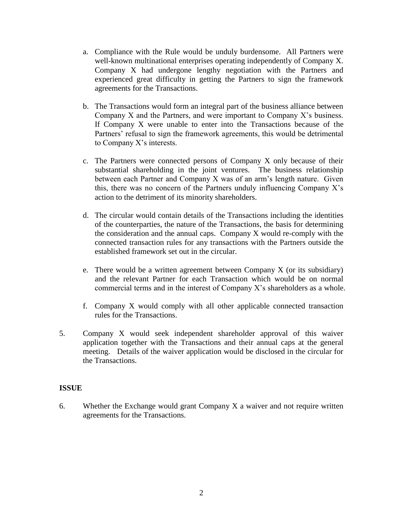- a. Compliance with the Rule would be unduly burdensome. All Partners were well-known multinational enterprises operating independently of Company X. Company X had undergone lengthy negotiation with the Partners and experienced great difficulty in getting the Partners to sign the framework agreements for the Transactions.
- b. The Transactions would form an integral part of the business alliance between Company X and the Partners, and were important to Company X's business. If Company X were unable to enter into the Transactions because of the Partners' refusal to sign the framework agreements, this would be detrimental to Company X's interests.
- c. The Partners were connected persons of Company X only because of their substantial shareholding in the joint ventures. The business relationship between each Partner and Company X was of an arm's length nature. Given this, there was no concern of the Partners unduly influencing Company X's action to the detriment of its minority shareholders.
- d. The circular would contain details of the Transactions including the identities of the counterparties, the nature of the Transactions, the basis for determining the consideration and the annual caps. Company X would re-comply with the connected transaction rules for any transactions with the Partners outside the established framework set out in the circular.
- e. There would be a written agreement between Company  $X$  (or its subsidiary) and the relevant Partner for each Transaction which would be on normal commercial terms and in the interest of Company X's shareholders as a whole.
- f. Company X would comply with all other applicable connected transaction rules for the Transactions.
- 5. Company X would seek independent shareholder approval of this waiver application together with the Transactions and their annual caps at the general meeting. Details of the waiver application would be disclosed in the circular for the Transactions.

### **ISSUE**

6. Whether the Exchange would grant Company X a waiver and not require written agreements for the Transactions.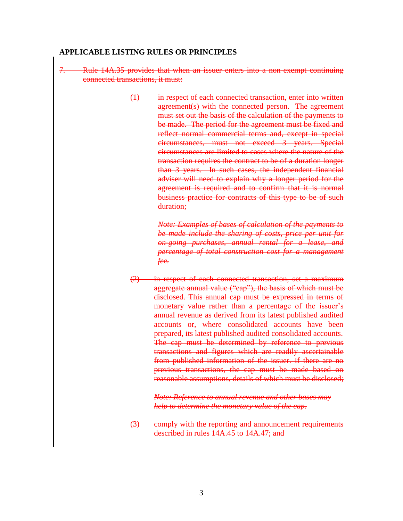#### **APPLICABLE LISTING RULES OR PRINCIPLES**

- 7. Rule 14A.35 provides that when an issuer enters into a non-exempt continuing connected transactions, it must:
	- (1) in respect of each connected transaction, enter into written agreement(s) with the connected person. The agreement must set out the basis of the calculation of the payments to be made. The period for the agreement must be fixed and reflect normal commercial terms and, except in special circumstances, must not exceed 3 years. Special circumstances are limited to cases where the nature of the transaction requires the contract to be of a duration longer than 3 years. In such cases, the independent financial adviser will need to explain why a longer period for the agreement is required and to confirm that it is normal business practice for contracts of this type to be of such duration;

*Note: Examples of bases of calculation of the payments to be made include the sharing of costs, price per unit for on-going purchases, annual rental for a lease, and percentage of total construction cost for a management fee.*

(2) in respect of each connected transaction, set a maximum aggregate annual value ("cap"), the basis of which must be disclosed. This annual cap must be expressed in terms of monetary value rather than a percentage of the issuer's annual revenue as derived from its latest published audited accounts or, where consolidated accounts have been prepared, its latest published audited consolidated accounts. The cap must be determined by reference to previous transactions and figures which are readily ascertainable from published information of the issuer. If there are no previous transactions, the cap must be made based on reasonable assumptions, details of which must be disclosed;

> *Note: Reference to annual revenue and other bases may help to determine the monetary value of the cap.*

(3) comply with the reporting and announcement requirements described in rules 14A.45 to 14A.47; and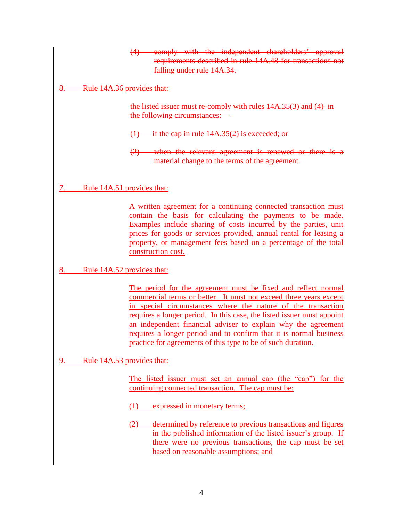(4) comply with the independent shareholders' approval requirements described in rule 14A.48 for transactions not falling under rule 14A.34.

8. Rule 14A.36 provides that:

the listed issuer must re-comply with rules 14A.35(3) and (4) in the following circumstances:—

 $(1)$  if the cap in rule  $14A.35(2)$  is exceeded; or

(2) when the relevant agreement is renewed or there is a material change to the terms of the agreement.

7. Rule 14A.51 provides that:

A written agreement for a continuing connected transaction must contain the basis for calculating the payments to be made. Examples include sharing of costs incurred by the parties, unit prices for goods or services provided, annual rental for leasing a property, or management fees based on a percentage of the total construction cost.

## 8. Rule 14A.52 provides that:

The period for the agreement must be fixed and reflect normal commercial terms or better. It must not exceed three years except in special circumstances where the nature of the transaction requires a longer period. In this case, the listed issuer must appoint an independent financial adviser to explain why the agreement requires a longer period and to confirm that it is normal business practice for agreements of this type to be of such duration.

9. Rule 14A.53 provides that:

The listed issuer must set an annual cap (the "cap") for the continuing connected transaction. The cap must be:

- (1) expressed in monetary terms;
- (2) determined by reference to previous transactions and figures in the published information of the listed issuer's group. If there were no previous transactions, the cap must be set based on reasonable assumptions; and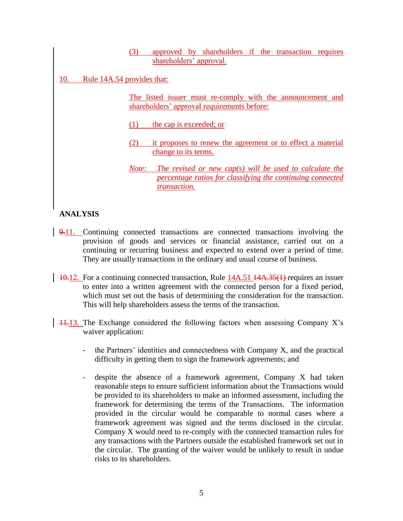(3) approved by shareholders if the transaction requires shareholders' approval.

10. Rule 14A.54 provides that:

The listed issuer must re-comply with the announcement and shareholders' approval requirements before:

(1) the cap is exceeded; or

- (2) it proposes to renew the agreement or to effect a material change to its terms.
- *Note: The revised or new cap(s) will be used to calculate the percentage ratios for classifying the continuing connected transaction.*

# **ANALYSIS**

- 9.11. Continuing connected transactions are connected transactions involving the provision of goods and services or financial assistance, carried out on a continuing or recurring business and expected to extend over a period of time. They are usually transactions in the ordinary and usual course of business.
- 10.12. For a continuing connected transaction, Rule 14A.51 14A.35(1) requires an issuer to enter into a written agreement with the connected person for a fixed period, which must set out the basis of determining the consideration for the transaction. This will help shareholders assess the terms of the transaction.
- $11.13$ . The Exchange considered the following factors when assessing Company X's waiver application:
	- the Partners' identities and connectedness with Company X, and the practical difficulty in getting them to sign the framework agreements; and
	- despite the absence of a framework agreement, Company X had taken reasonable steps to ensure sufficient information about the Transactions would be provided to its shareholders to make an informed assessment, including the framework for determining the terms of the Transactions. The information provided in the circular would be comparable to normal cases where a framework agreement was signed and the terms disclosed in the circular. Company X would need to re-comply with the connected transaction rules for any transactions with the Partners outside the established framework set out in the circular. The granting of the waiver would be unlikely to result in undue risks to its shareholders.